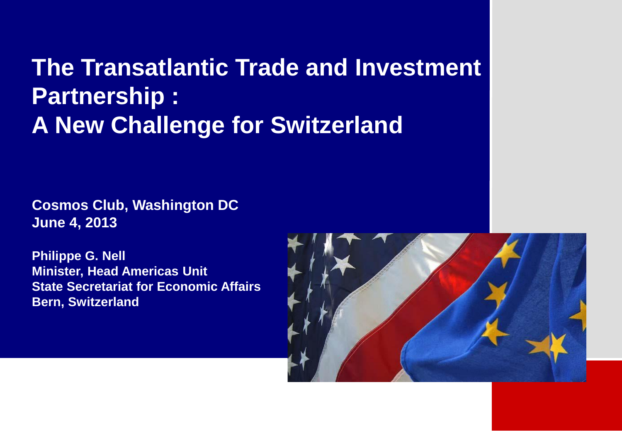## **The Transatlantic Trade and Investment Partnership : A New Challenge for Switzerland**

**Cosmos Club, Washington DC June 4, 2013**

**Philippe G. Nell Minister, Head Americas Unit State Secretariat for Economic Affairs Bern, Switzerland**

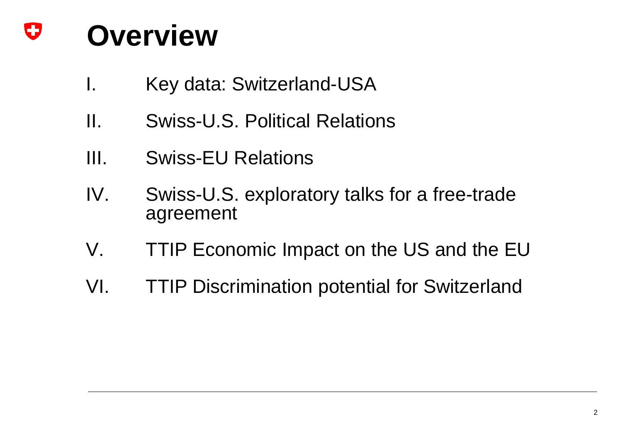### O **Overview**

- I. Key data: Switzerland-USA
- II. Swiss-U.S. Political Relations
- III. Swiss-EU Relations
- IV. Swiss-U.S. exploratory talks for a free-trade agreement
- V. TTIP Economic Impact on the US and the EU
- VI. TTIP Discrimination potential for Switzerland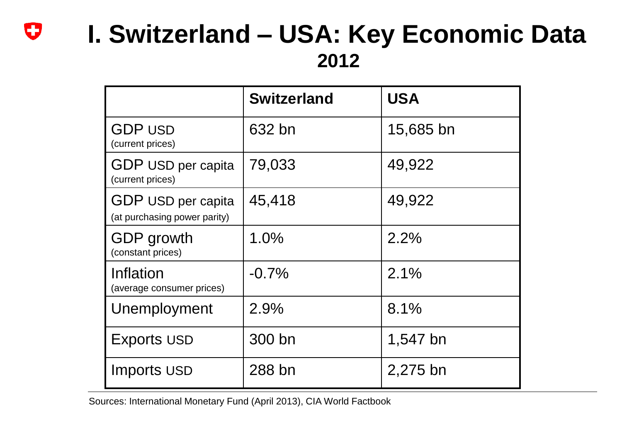## **I. Switzerland – USA: Key Economic Data 2012**

|                                                    | <b>Switzerland</b> | <b>USA</b> |
|----------------------------------------------------|--------------------|------------|
| <b>GDP USD</b><br>(current prices)                 | 632 bn             | 15,685 bn  |
| GDP USD per capita<br>(current prices)             | 79,033             | 49,922     |
| GDP USD per capita<br>(at purchasing power parity) | 45,418             | 49,922     |
| <b>GDP</b> growth<br>(constant prices)             | $1.0\%$            | 2.2%       |
| Inflation<br>(average consumer prices)             | $-0.7\%$           | 2.1%       |
| Unemployment                                       | 2.9%               | 8.1%       |
| <b>Exports USD</b>                                 | 300 bn             | 1,547 bn   |
| Imports USD                                        | 288 bn             | 2,275 bn   |

Sources: International Monetary Fund (April 2013), CIA World Factbook

 $\mathbf C$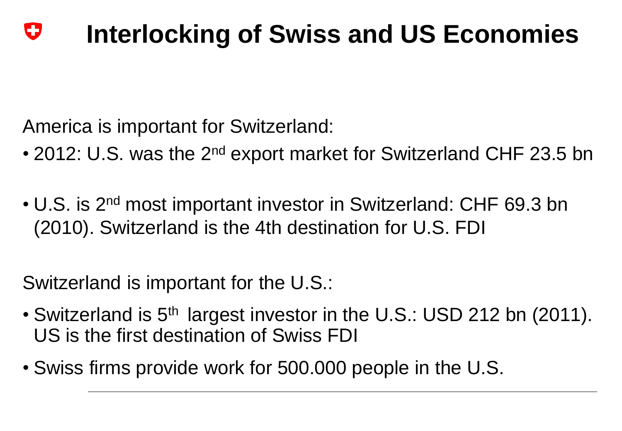#### U **Interlocking of Swiss and US Economies**

America is important for Switzerland:

- 2012: U.S. was the 2<sup>nd</sup> export market for Switzerland CHF 23.5 bn
- U.S. is 2nd most important investor in Switzerland: CHF 69.3 bn (2010). Switzerland is the 4th destination for U.S. FDI

Switzerland is important for the U.S.:

- Switzerland is 5<sup>th</sup> largest investor in the U.S.: USD 212 bn (2011). US is the first destination of Swiss FDI
- Swiss firms provide work for 500.000 people in the U.S.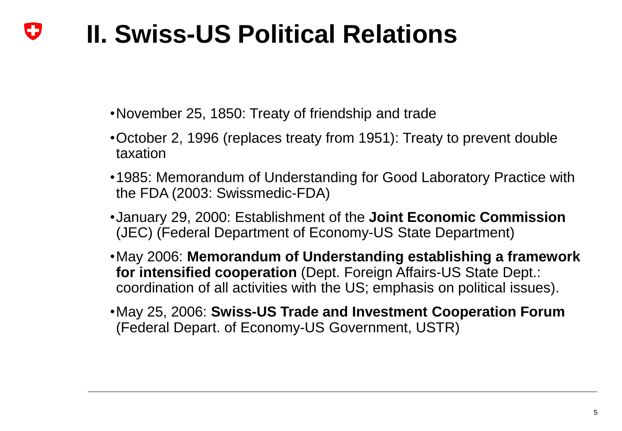#### **II. Swiss-US Political Relations** IJ

- •November 25, 1850: Treaty of friendship and trade
- •October 2, 1996 (replaces treaty from 1951): Treaty to prevent double taxation
- •1985: Memorandum of Understanding for Good Laboratory Practice with the FDA (2003: Swissmedic-FDA)
- •January 29, 2000: Establishment of the **Joint Economic Commission** (JEC) (Federal Department of Economy-US State Department)
- •May 2006: **Memorandum of Understanding establishing a framework for intensified cooperation** (Dept. Foreign Affairs-US State Dept.: coordination of all activities with the US; emphasis on political issues).
- •May 25, 2006: **Swiss-US Trade and Investment Cooperation Forum** (Federal Depart. of Economy-US Government, USTR)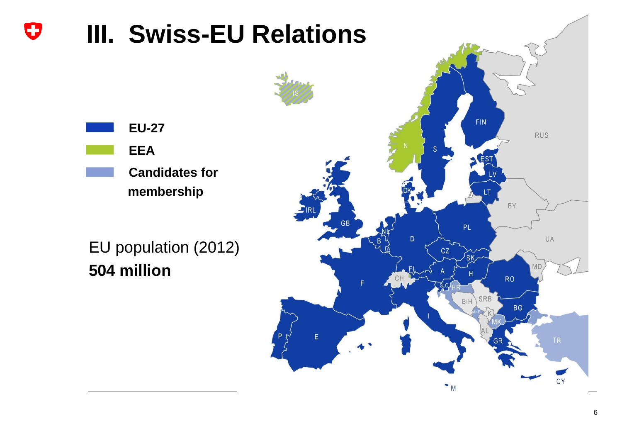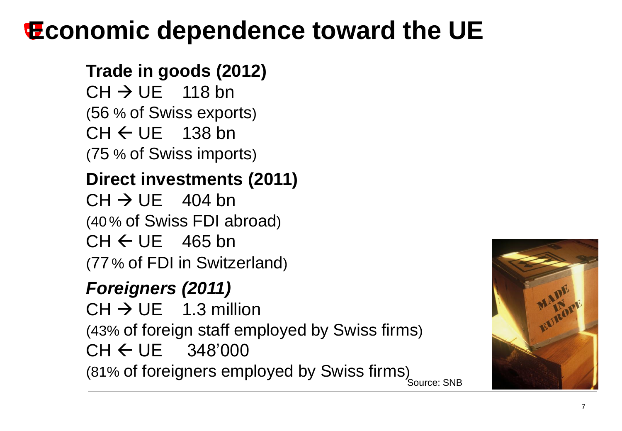# **Economic dependence toward the UE**

## **Trade in goods (2012)**

 $CH \rightarrow UE$  118 bn (56 % of Swiss exports)  $CH \leftarrow UE$  138 bn (75 % of Swiss imports)

## **Direct investments (2011)**

 $CH \rightarrow UE$  404 bn (40 % of Swiss FDI abroad)  $CH \leftarrow UE$  465 bn (77 % of FDI in Switzerland)

## *Foreigners (2011)*

Source: SNB  $CH \rightarrow UE$  1.3 million (43% of foreign staff employed by Swiss firms)  $CH \leftarrow UE$  348'000 (81% of foreigners employed by Swiss firms)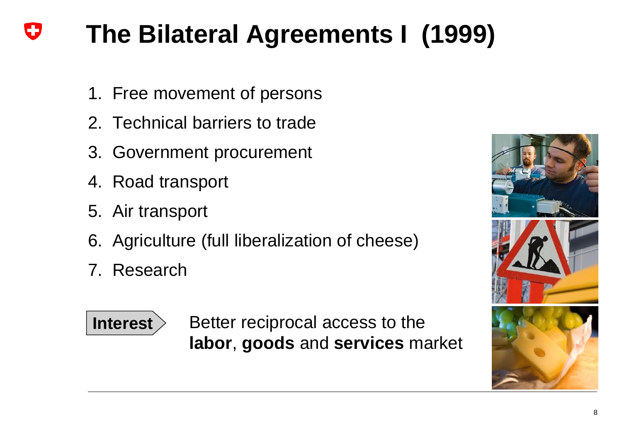# **The Bilateral Agreements I (1999)**

- 1. Free movement of persons
- 2. Technical barriers to trade
- 3. Government procurement
- 4. Road transport
- 5. Air transport
- 6. Agriculture (full liberalization of cheese)
- 7. Research



Better reciprocal access to the **labor**, **goods** and **services** market



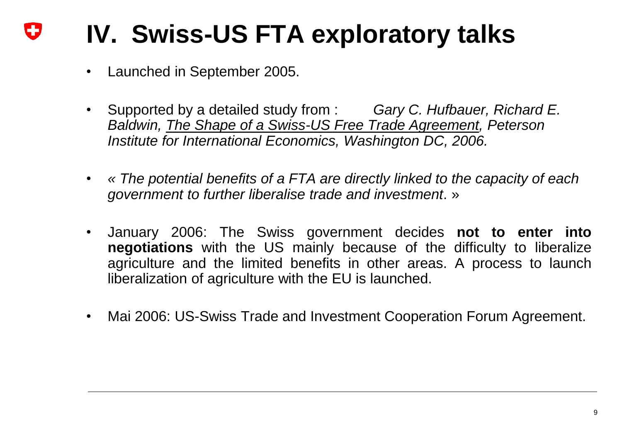# **IV. Swiss-US FTA exploratory talks**

- Launched in September 2005.
- Supported by a detailed study from : *Gary C. Hufbauer, Richard E. Baldwin, The Shape of a Swiss-US Free Trade Agreement, Peterson Institute for International Economics, Washington DC, 2006.*
- *« The potential benefits of a FTA are directly linked to the capacity of each government to further liberalise trade and investment*. »
- January 2006: The Swiss government decides **not to enter into negotiations** with the US mainly because of the difficulty to liberalize agriculture and the limited benefits in other areas. A process to launch liberalization of agriculture with the EU is launched.
- Mai 2006: US-Swiss Trade and Investment Cooperation Forum Agreement.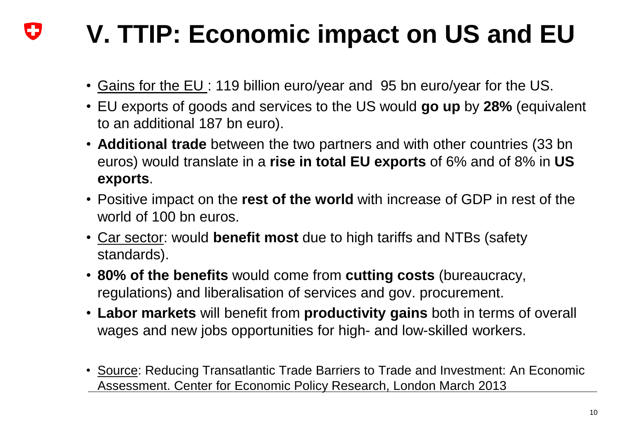### IJ **V. TTIP: Economic impact on US and EU**

- Gains for the EU : 119 billion euro/year and 95 bn euro/year for the US.
- EU exports of goods and services to the US would **go up** by **28%** (equivalent to an additional 187 bn euro).
- **Additional trade** between the two partners and with other countries (33 bn euros) would translate in a **rise in total EU exports** of 6% and of 8% in **US exports**.
- Positive impact on the **rest of the world** with increase of GDP in rest of the world of 100 bn euros.
- Car sector: would **benefit most** due to high tariffs and NTBs (safety standards).
- **80% of the benefits** would come from **cutting costs** (bureaucracy, regulations) and liberalisation of services and gov. procurement.
- **Labor markets** will benefit from **productivity gains** both in terms of overall wages and new jobs opportunities for high- and low-skilled workers.
- Source: Reducing Transatlantic Trade Barriers to Trade and Investment: An Economic Assessment. Center for Economic Policy Research, London March 2013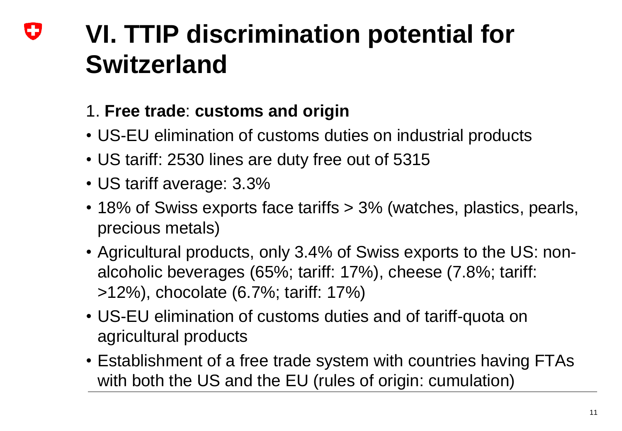## **VI. TTIP discrimination potential for**  IJ **Switzerland**

## 1. **Free trade**: **customs and origin**

- US-EU elimination of customs duties on industrial products
- US tariff: 2530 lines are duty free out of 5315
- US tariff average: 3.3%
- 18% of Swiss exports face tariffs > 3% (watches, plastics, pearls, precious metals)
- Agricultural products, only 3.4% of Swiss exports to the US: nonalcoholic beverages (65%; tariff: 17%), cheese (7.8%; tariff: >12%), chocolate (6.7%; tariff: 17%)
- US-EU elimination of customs duties and of tariff-quota on agricultural products
- Establishment of a free trade system with countries having FTAs with both the US and the EU (rules of origin: cumulation)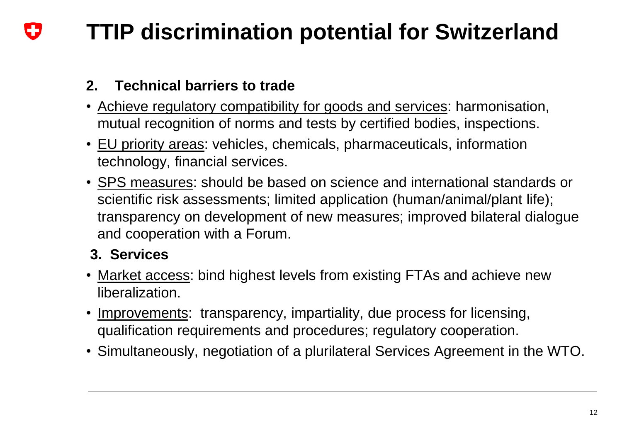#### **TTIP discrimination potential for Switzerland** IJ

## **2. Technical barriers to trade**

- Achieve regulatory compatibility for goods and services: harmonisation, mutual recognition of norms and tests by certified bodies, inspections.
- EU priority areas: vehicles, chemicals, pharmaceuticals, information technology, financial services.
- SPS measures: should be based on science and international standards or scientific risk assessments; limited application (human/animal/plant life); transparency on development of new measures; improved bilateral dialogue and cooperation with a Forum.

## **3. Services**

- Market access: bind highest levels from existing FTAs and achieve new liberalization.
- Improvements: transparency, impartiality, due process for licensing, qualification requirements and procedures; regulatory cooperation.
- Simultaneously, negotiation of a plurilateral Services Agreement in the WTO.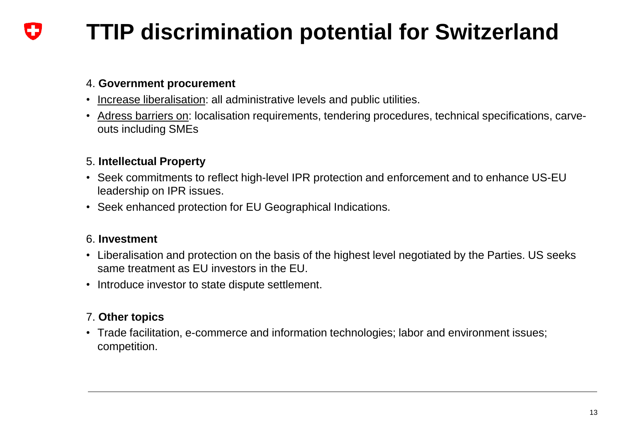#### **TTIP discrimination potential for Switzerland** IJ

#### 4. **Government procurement**

- Increase liberalisation: all administrative levels and public utilities.
- Adress barriers on: localisation requirements, tendering procedures, technical specifications, carveouts including SMEs

#### 5. **Intellectual Property**

- Seek commitments to reflect high-level IPR protection and enforcement and to enhance US-EU leadership on IPR issues.
- Seek enhanced protection for EU Geographical Indications.

#### 6. **Investment**

- Liberalisation and protection on the basis of the highest level negotiated by the Parties. US seeks same treatment as EU investors in the EU.
- Introduce investor to state dispute settlement.

#### 7. **Other topics**

• Trade facilitation, e-commerce and information technologies; labor and environment issues; competition.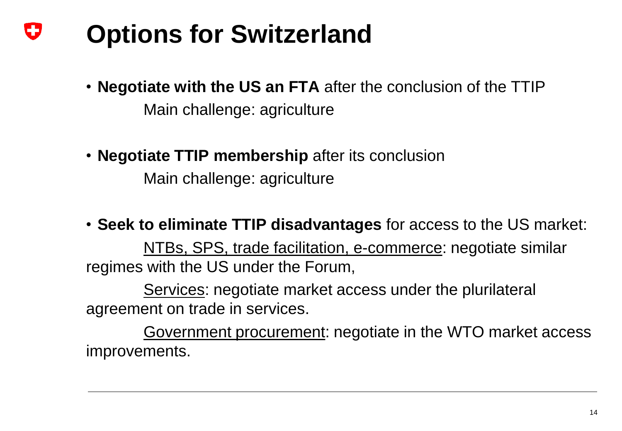#### U **Options for Switzerland**

- **Negotiate with the US an FTA** after the conclusion of the TTIP Main challenge: agriculture
- **Negotiate TTIP membership** after its conclusion Main challenge: agriculture
- **Seek to eliminate TTIP disadvantages** for access to the US market:

NTBs, SPS, trade facilitation, e-commerce: negotiate similar regimes with the US under the Forum,

Services: negotiate market access under the plurilateral agreement on trade in services.

Government procurement: negotiate in the WTO market access improvements.